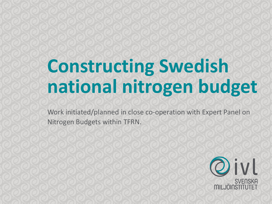## **Constructing Swedish national nitrogen budget**

Work initiated/planned in close co-operation with Expert Panel on Nitrogen Budgets within TFRN.

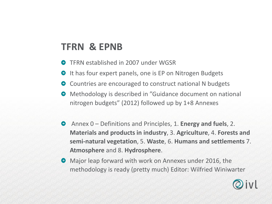## **TFRN & EPNB**

- TFRN established in 2007 under WGSR
- **O** It has four expert panels, one is EP on Nitrogen Budgets
- **O** Countries are encouraged to construct national N budgets
- **•** Methodology is described in "Guidance document on national nitrogen budgets" (2012) followed up by 1+8 Annexes
- Annex 0 Definitions and Principles, 1. **Energy and fuels**, 2. **Materials and products in industry**, 3. **Agriculture**, 4. **Forests and semi-natural vegetation**, 5. **Waste**, 6. **Humans and settlements** 7. **Atmosphere** and 8. **Hydrosphere**.
- **•** Major leap forward with work on Annexes under 2016, the methodology is ready (pretty much) Editor: Wilfried Winiwarter

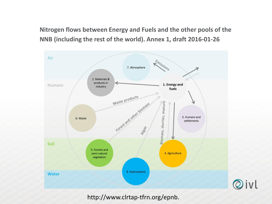**Nitrogen flows between Energy and Fuels and the other pools of the NNB (including the rest of the world). Annex 1, draft 2016-01-26**



http://www.clrtap-tfrn.org/epnb.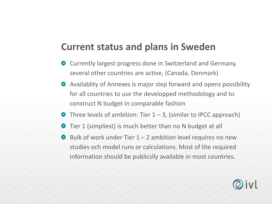## **Current status and plans in Sweden**

- Currently largest progress done in Switzerland and Germany, several other countries are active, (Canada, Denmark)
- Availablity of Annexes is major step forward and opens possibility for all countries to use the developped methodology and to construct N budget in comparable fashion
- $\bullet$  Three levels of ambition: Tier 1 3, (similar to IPCC approach)
- Tier 1 (simpliest) is much better than no N budget at all
- $\Theta$  Bulk of work under Tier 1 2 ambition level requires no new studies och model runs or calculations. Most of the required information should be publicslly available in most countries.